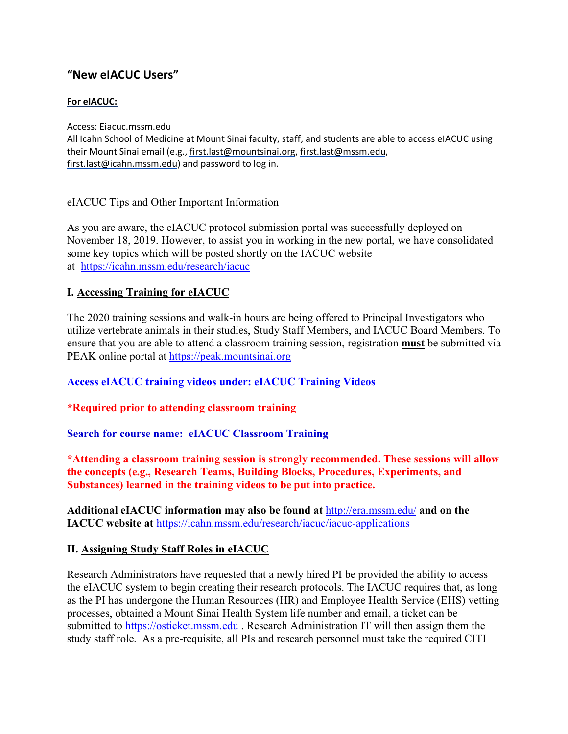# **"New eIACUC Users"**

### **For eIACUC:**

Access: Eiacuc.mssm.edu All Icahn School of Medicine at Mount Sinai faculty, staff, and students are able to access eIACUC using their Mount Sinai email (e.g., first.last@mountsinai.org, first.last@mssm.edu, first.last@icahn.mssm.edu) and password to log in.

eIACUC Tips and Other Important Information

As you are aware, the eIACUC protocol submission portal was successfully deployed on November 18, 2019. However, to assist you in working in the new portal, we have consolidated some key topics which will be posted shortly on the IACUC website at https://icahn.mssm.edu/research/iacuc

### **I. Accessing Training for eIACUC**

The 2020 training sessions and walk-in hours are being offered to Principal Investigators who utilize vertebrate animals in their studies, Study Staff Members, and IACUC Board Members. To ensure that you are able to attend a classroom training session, registration **must** be submitted via PEAK online portal at https://peak.mountsinai.org

### **Access eIACUC training videos under: eIACUC Training Videos**

#### **\*Required prior to attending classroom training**

**Search for course name: eIACUC Classroom Training**

**\*Attending a classroom training session is strongly recommended. These sessions will allow the concepts (e.g., Research Teams, Building Blocks, Procedures, Experiments, and Substances) learned in the training videos to be put into practice.** 

**Additional eIACUC information may also be found at** http://era.mssm.edu/ **and on the IACUC website at** https://icahn.mssm.edu/research/iacuc/iacuc-applications

#### **II. Assigning Study Staff Roles in eIACUC**

Research Administrators have requested that a newly hired PI be provided the ability to access the eIACUC system to begin creating their research protocols. The IACUC requires that, as long as the PI has undergone the Human Resources (HR) and Employee Health Service (EHS) vetting processes, obtained a Mount Sinai Health System life number and email, a ticket can be submitted to https://osticket.mssm.edu . Research Administration IT will then assign them the study staff role. As a pre-requisite, all PIs and research personnel must take the required CITI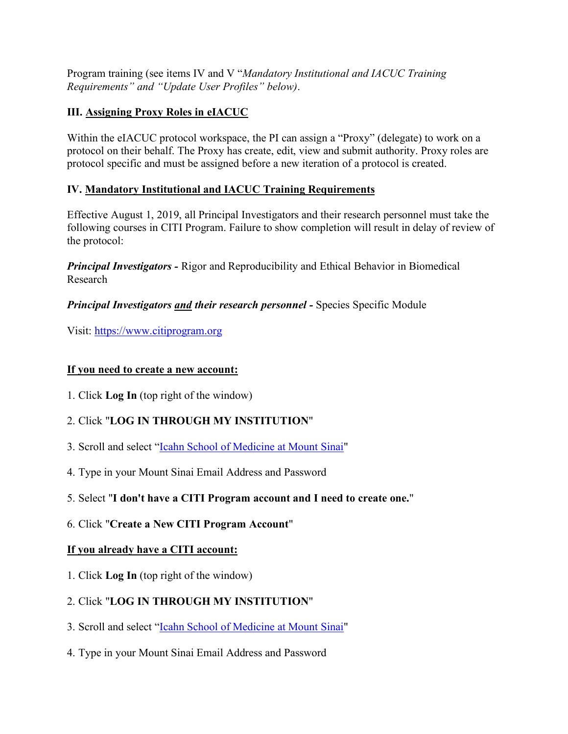Program training (see items IV and V "*Mandatory Institutional and IACUC Training Requirements" and "Update User Profiles" below)*.

## **III. Assigning Proxy Roles in eIACUC**

Within the eIACUC protocol workspace, the PI can assign a "Proxy" (delegate) to work on a protocol on their behalf. The Proxy has create, edit, view and submit authority. Proxy roles are protocol specific and must be assigned before a new iteration of a protocol is created.

## **IV. Mandatory Institutional and IACUC Training Requirements**

Effective August 1, 2019, all Principal Investigators and their research personnel must take the following courses in CITI Program. Failure to show completion will result in delay of review of the protocol:

*Principal Investigators -* Rigor and Reproducibility and Ethical Behavior in Biomedical Research

*Principal Investigators and their research personnel - Species Specific Module* 

Visit: https://www.citiprogram.org

## **If you need to create a new account:**

1. Click **Log In** (top right of the window)

# 2. Click "**LOG IN THROUGH MY INSTITUTION**"

- 3. Scroll and select "Icahn School of Medicine at Mount Sinai"
- 4. Type in your Mount Sinai Email Address and Password
- 5. Select "**I don't have a CITI Program account and I need to create one.**"
- 6. Click "**Create a New CITI Program Account**"

# **If you already have a CITI account:**

1. Click **Log In** (top right of the window)

# 2. Click "**LOG IN THROUGH MY INSTITUTION**"

- 3. Scroll and select "Icahn School of Medicine at Mount Sinai"
- 4. Type in your Mount Sinai Email Address and Password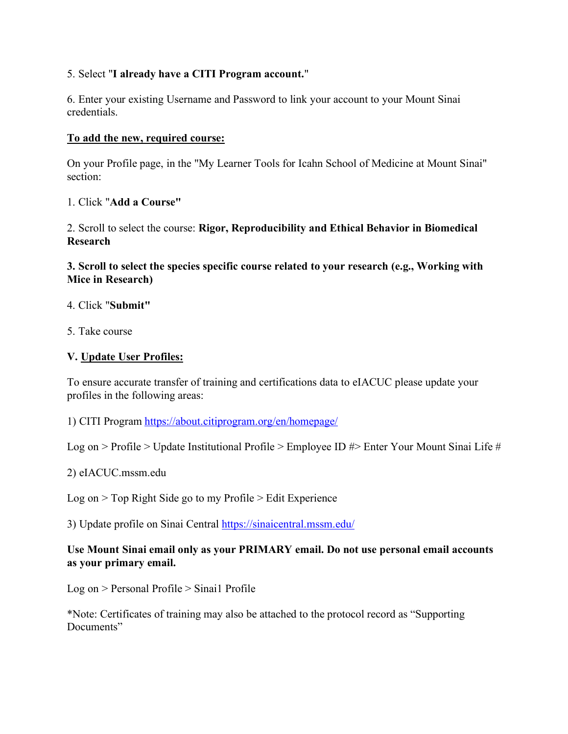### 5. Select "**I already have a CITI Program account.**"

6. Enter your existing Username and Password to link your account to your Mount Sinai credentials.

#### **To add the new, required course:**

On your Profile page, in the "My Learner Tools for Icahn School of Medicine at Mount Sinai" section:

### 1. Click "**Add a Course"**

2. Scroll to select the course: **Rigor, Reproducibility and Ethical Behavior in Biomedical Research**

**3. Scroll to select the species specific course related to your research (e.g., Working with Mice in Research)**

- 4. Click "**Submit"**
- 5. Take course

### **V. Update User Profiles:**

To ensure accurate transfer of training and certifications data to eIACUC please update your profiles in the following areas:

1) CITI Program https://about.citiprogram.org/en/homepage/

Log on > Profile > Update Institutional Profile > Employee ID #> Enter Your Mount Sinai Life #

2) eIACUC.mssm.edu

Log on > Top Right Side go to my Profile > Edit Experience

3) Update profile on Sinai Central https://sinaicentral.mssm.edu/

### **Use Mount Sinai email only as your PRIMARY email. Do not use personal email accounts as your primary email.**

Log on > Personal Profile > Sinai1 Profile

\*Note: Certificates of training may also be attached to the protocol record as "Supporting Documents"